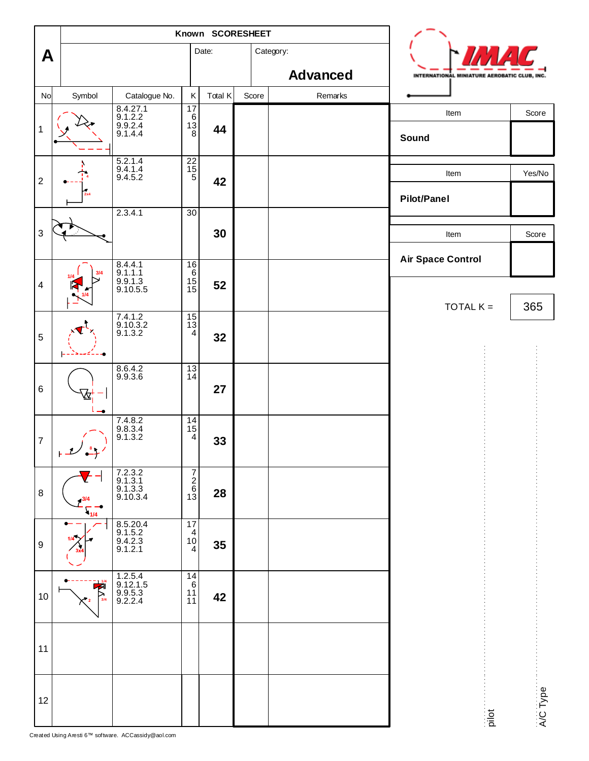|                           |                                       | Known SCORESHEET                                           |                                                                      |         |       |                 |                                              |          |
|---------------------------|---------------------------------------|------------------------------------------------------------|----------------------------------------------------------------------|---------|-------|-----------------|----------------------------------------------|----------|
| A                         |                                       |                                                            |                                                                      | Date:   |       | Category:       |                                              |          |
|                           |                                       |                                                            |                                                                      |         |       | <b>Advanced</b> | INTERNATIONAL MINIATURE AEROBATIC CLUB, INC. |          |
| No                        | Symbol                                | Catalogue No.<br>8.4.27.1<br>9.1.2.2<br>9.9.2.4<br>9.1.4.4 | Κ<br>$\overline{17}$<br>$\begin{bmatrix} 6 \\ 13 \\ 8 \end{bmatrix}$ | Total K | Score | Remarks         | Item                                         | Score    |
| $\mathbf 1$               |                                       |                                                            |                                                                      | 44      |       |                 | Sound                                        |          |
| $\boldsymbol{2}$          |                                       | 5.2.1.4<br>$9.4.1.4$<br>9.4.5.2                            | $\begin{array}{c}\n 22 \\ 15 \\ 5\n \end{array}$                     | 42      |       |                 | Item                                         | Yes/No   |
|                           |                                       | 2.3.4.1                                                    | 30                                                                   |         |       |                 | <b>Pilot/Panel</b>                           |          |
| $\ensuremath{\mathsf{3}}$ |                                       |                                                            |                                                                      | 30      |       |                 | Item                                         | Score    |
|                           |                                       | 8.4.4.1<br>9.1.1.1                                         | 16                                                                   |         |       |                 | <b>Air Space Control</b>                     |          |
| $\overline{\mathbf{4}}$   |                                       | $9.9.1.3$<br>9.10.5.5                                      | $\frac{6}{15}$                                                       | 52      |       |                 | TOTAL $K =$                                  | 365      |
| $\sqrt{5}$                |                                       | 7.4.1.2<br>9.10.3.2<br>9.1.3.2                             | $\begin{array}{c} 15 \\ 13 \\ 4 \end{array}$                         | 32      |       |                 |                                              |          |
| $\,6\,$                   |                                       | 8.6.4.2<br>9.9.3.6                                         | $\frac{13}{14}$                                                      | 27      |       |                 |                                              |          |
| $\boldsymbol{7}$          |                                       | 7.4.8.2<br>9.8.3.4<br>9.1.3.2                              | $\begin{array}{c} 14 \\ 15 \\ 4 \end{array}$                         | 33      |       |                 |                                              |          |
| 8                         | 1/4                                   | 7.2.3.2<br>9.1.3.1<br>9.1.3.3<br>9.10.3.4                  | $\frac{1}{\omega}$ on                                                | 28      |       |                 |                                              |          |
| $\boldsymbol{9}$          | ۰                                     | 8.5.20.4<br>9.1.5.2<br>9.4.2.3<br>9.1.2.1                  | 17<br>$\begin{matrix} 4 \\ 10 \end{matrix}$<br>4                     | 35      |       |                 |                                              |          |
| 10                        | $\frac{1}{2}$<br>$\overline{P}_{3/4}$ | 1.2.5.4<br>9.12.1.5<br>9.9.5.3<br>9.2.2.4                  | 14<br>$\,6\,$<br>11<br>11                                            | 42      |       |                 |                                              |          |
| 11                        |                                       |                                                            |                                                                      |         |       |                 |                                              |          |
| 12                        |                                       |                                                            |                                                                      |         |       |                 | pilot                                        | A/C Type |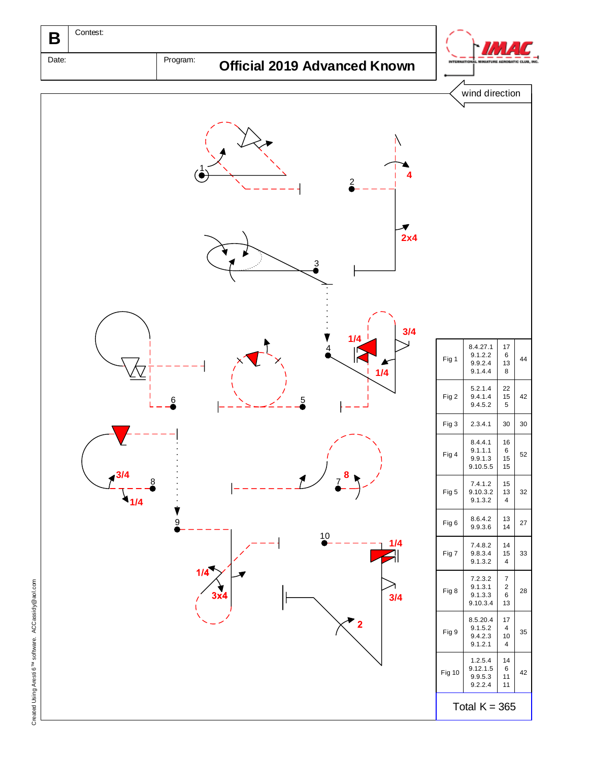